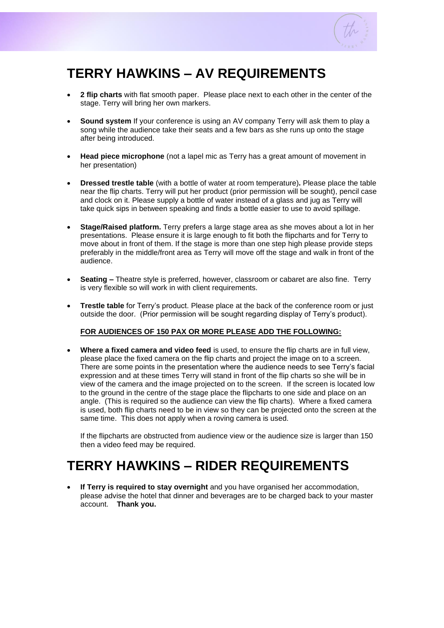

## **TERRY HAWKINS – AV REQUIREMENTS**

- **2 flip charts** with flat smooth paper. Please place next to each other in the center of the stage. Terry will bring her own markers.
- **Sound system** If your conference is using an AV company Terry will ask them to play a song while the audience take their seats and a few bars as she runs up onto the stage after being introduced.
- **Head piece microphone** (not a lapel mic as Terry has a great amount of movement in her presentation)
- **Dressed trestle table** (with a bottle of water at room temperature)**.** Please place the table near the flip charts. Terry will put her product (prior permission will be sought), pencil case and clock on it. Please supply a bottle of water instead of a glass and jug as Terry will take quick sips in between speaking and finds a bottle easier to use to avoid spillage.
- **Stage/Raised platform.** Terry prefers a large stage area as she moves about a lot in her presentations. Please ensure it is large enough to fit both the flipcharts and for Terry to move about in front of them. If the stage is more than one step high please provide steps preferably in the middle/front area as Terry will move off the stage and walk in front of the audience.
- **Seating –** Theatre style is preferred, however, classroom or cabaret are also fine. Terry is very flexible so will work in with client requirements.
- **Trestle table** for Terry's product. Please place at the back of the conference room or just outside the door. (Prior permission will be sought regarding display of Terry's product).

## **FOR AUDIENCES OF 150 PAX OR MORE PLEASE ADD THE FOLLOWING:**

• **Where a fixed camera and video feed** is used, to ensure the flip charts are in full view, please place the fixed camera on the flip charts and project the image on to a screen. There are some points in the presentation where the audience needs to see Terry's facial expression and at these times Terry will stand in front of the flip charts so she will be in view of the camera and the image projected on to the screen. If the screen is located low to the ground in the centre of the stage place the flipcharts to one side and place on an angle. (This is required so the audience can view the flip charts). Where a fixed camera is used, both flip charts need to be in view so they can be projected onto the screen at the same time. This does not apply when a roving camera is used.

If the flipcharts are obstructed from audience view or the audience size is larger than 150 then a video feed may be required.

## **TERRY HAWKINS – RIDER REQUIREMENTS**

• **If Terry is required to stay overnight** and you have organised her accommodation, please advise the hotel that dinner and beverages are to be charged back to your master account. **Thank you.**